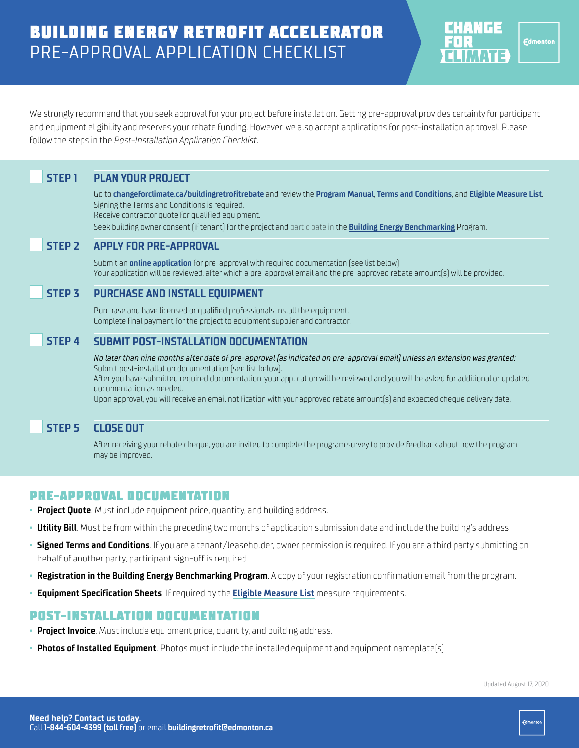# BUILDING ENERGY RETROFIT ACCELERATOR PRE-APPROVAL APPLICATION CHECKLIST



We strongly recommend that you seek approval for your project before installation. Getting pre-approval provides certainty for participant and equipment eligibility and reserves your rebate funding. However, we also accept applications for post-installation approval. Please follow the steps in the *Post-Installation Application Checklist*.

# **STEP 1 PLAN YOUR PROJECT**

Go to **[changeforclimate.ca/buildingretrofitrebate](https://changeforclimate.ca/programs/building-energy-retrofit-accelerator)** and review the **[Program Manual](https://www.edmonton.ca/programs_services/documents/PDF/BERA-ProgramManual.pdf)**, **[Terms and Conditions](https://www.edmonton.ca/programs_services/documents/PDF/BERA-ProgramTermsAndConditions.pdf)**, and **[Eligible Measure List](https://www.edmonton.ca/programs_services/documents/PDF/BERA-EligibleMeasuresList.pdf)**. Signing the Terms and Conditions is required.

Receive contractor quote for qualified equipment.

Seek building owner consent (if tenant) for the project and participate in the **[Building Energy Benchmarking](https://www.edmonton.ca/energybenchmarking)** Program.

#### **STEP 2 APPLY FOR PRE-APPROVAL**

Submit an **[online application](https://forms.logiforms.com/published/?workflowid=b07a76c1-0196-4648-96b5-4cbb71f1110d&usr_id=80200)** for pre-approval with required documentation (see list below). Your application will be reviewed, after which a pre-approval email and the pre-approved rebate amount(s) will be provided.

### **STEP 3 PURCHASE AND INSTALL EQUIPMENT**

Purchase and have licensed or qualified professionals install the equipment. Complete final payment for the project to equipment supplier and contractor.

### **STEP 4 SUBMIT POST-INSTALLATION DOCUMENTATION**

*No later than nine months after date of pre-approval (as indicated on pre-approval email) unless an extension was granted:* Submit post-installation documentation (see list below). After you have submitted required documentation, your application will be reviewed and you will be asked for additional or updated documentation as needed.

Upon approval, you will receive an email notification with your approved rebate amount(s) and expected cheque delivery date.

### **STEP 5 CLOSE OUT**

After receiving your rebate cheque, you are invited to complete the program survey to provide feedback about how the program may be improved.

### PRE-APPROVAL DOCUMENTATION

- **Project Quote**. Must include equipment price, quantity, and building address.
- **Example It Audit** Must be from within the preceding two months of application submission date and include the building's address.
- **Signed Terms and Conditions**. If you are a tenant/leaseholder, owner permission is required. If you are a third party submitting on behalf of another party, participant sign-off is required.
- **Registration in the Building Energy Benchmarking Program**. A copy of your registration confirmation email from the program.
- **Equipment Specification Sheets**. If required by the **[Eligible Measure List](https://www.edmonton.ca/programs_services/documents/PDF/BERA-EligibleMeasuresList.pdf)** measure requirements.

### POST-INSTALLATION DOCUMENTATION

- **Project Invoice**. Must include equipment price, quantity, and building address.
- **Photos of Installed Equipment**. Photos must include the installed equipment and equipment nameplate(s).